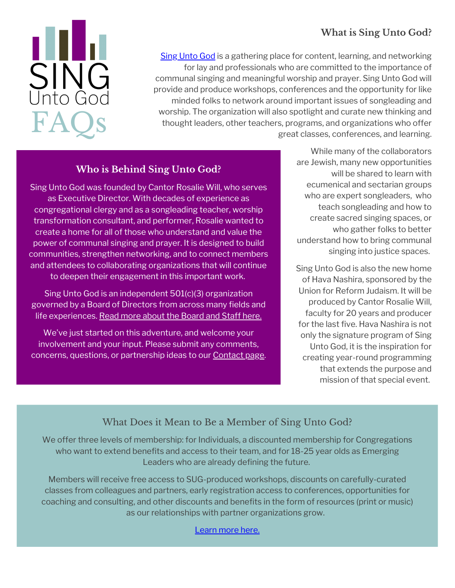# **What is Sing Unto God?**



Sing [Unto](https://www.singuntogod.org/) God is a gathering place for content, learning, and networking for lay and professionals who are committed to the importance of communal singing and meaningful worship and prayer. Sing Unto God will provide and produce workshops, conferences and the opportunity for like minded folks to network around important issues of songleading and worship. The organization will also spotlight and curate new thinking and thought leaders, other teachers, programs, and organizations who offer great classes, conferences, and learning.

## **Who is Behind Sing Unto God?**

Sing Unto God was founded by Cantor Rosalie Will, who serves as Executive Director. With decades of experience as congregational clergy and as a songleading teacher, worship transformation consultant, and performer, Rosalie wanted to create a home for all of those who understand and value the power of communal singing and prayer. It is designed to build communities, strengthen networking, and to connect members and attendees to collaborating organizations that will continue to deepen their engagement in this important work.

Sing Unto God is an independent 501(c)(3) organization governed by a Board of Directors from across many fields and life experiences. Read more about the [Board](https://www.singuntogod.org/boardandstaff) and Staff here.

We've just started on this adventure, and welcome your involvement and your input. Please submit any comments, concerns, questions, or partnership ideas to our **[Contact](https://www.singuntogod.org/contact) page**.

While many of the collaborators are Jewish, many new opportunities will be shared to learn with ecumenical and sectarian groups who are expert songleaders, who teach songleading and how to create sacred singing spaces, or who gather folks to better understand how to bring communal singing into justice spaces.

Sing Unto God is also the new home of Hava Nashira, sponsored by the Union for Reform Judaism. It will be produced by Cantor Rosalie Will, faculty for 20 years and producer for the last five. Hava Nashira is not only the signature program of Sing Unto God, it is the inspiration for creating year-round programming that extends the purpose and mission of that special event.

## What Does it Mean to Be a Member of Sing Unto God?

We offer three levels of membership: for Individuals, a discounted membership for Congregations who want to extend benefits and access to their team, and for 18-25 year olds as Emerging Leaders who are already defining the future.

Members will receive free access to SUG-produced workshops, discounts on carefully-curated classes from colleagues and partners, early registration access to conferences, opportunities for coaching and consulting, and other discounts and benefits in the form of resources (print or music) as our relationships with partner organizations grow.

[Learn](https://singuntogod.org/membership) more here.